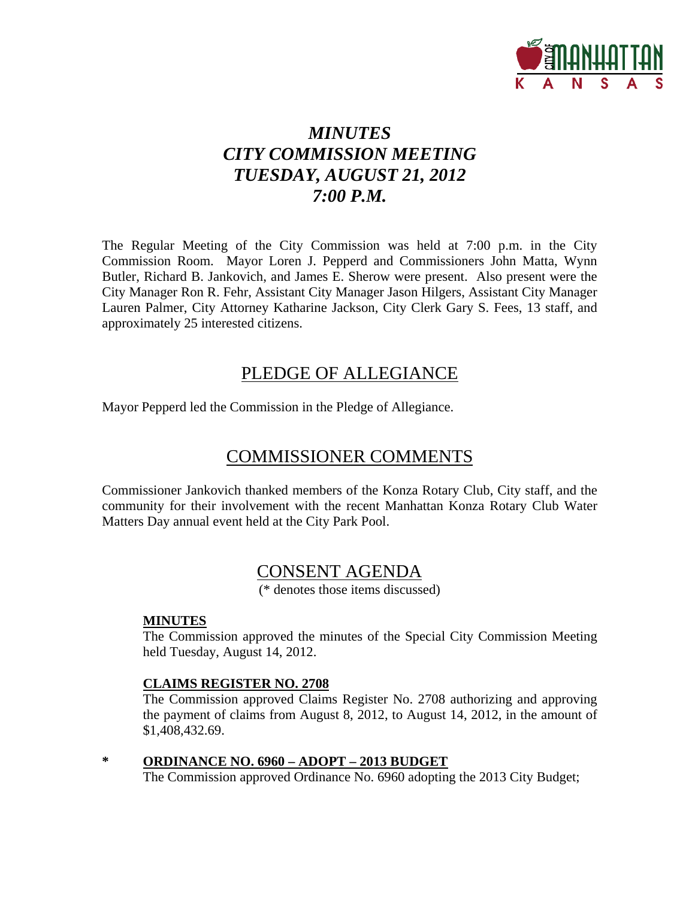

# *MINUTES CITY COMMISSION MEETING TUESDAY, AUGUST 21, 2012 7:00 P.M.*

The Regular Meeting of the City Commission was held at 7:00 p.m. in the City Commission Room. Mayor Loren J. Pepperd and Commissioners John Matta, Wynn Butler, Richard B. Jankovich, and James E. Sherow were present. Also present were the City Manager Ron R. Fehr, Assistant City Manager Jason Hilgers, Assistant City Manager Lauren Palmer, City Attorney Katharine Jackson, City Clerk Gary S. Fees, 13 staff, and approximately 25 interested citizens.

## PLEDGE OF ALLEGIANCE

Mayor Pepperd led the Commission in the Pledge of Allegiance.

# COMMISSIONER COMMENTS

Commissioner Jankovich thanked members of the Konza Rotary Club, City staff, and the community for their involvement with the recent Manhattan Konza Rotary Club Water Matters Day annual event held at the City Park Pool.

## CONSENT AGENDA

(\* denotes those items discussed)

## **MINUTES**

The Commission approved the minutes of the Special City Commission Meeting held Tuesday, August 14, 2012.

## **CLAIMS REGISTER NO. 2708**

The Commission approved Claims Register No. 2708 authorizing and approving the payment of claims from August 8, 2012, to August 14, 2012, in the amount of \$1,408,432.69.

**\* ORDINANCE NO. 6960 – ADOPT – 2013 BUDGET** The Commission approved Ordinance No. 6960 adopting the 2013 City Budget;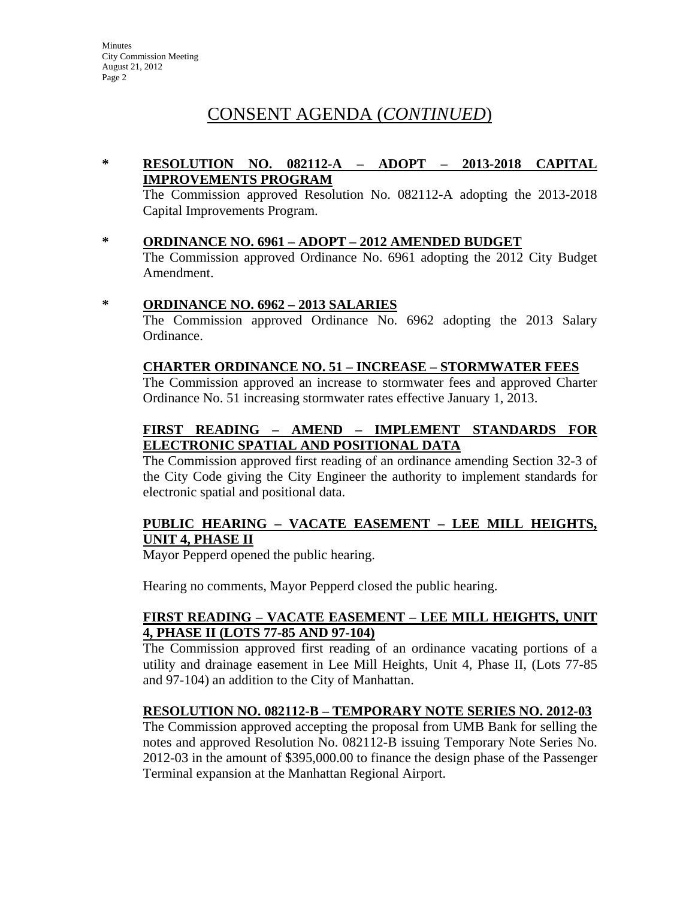### **\* RESOLUTION NO. 082112-A – ADOPT – 2013-2018 CAPITAL IMPROVEMENTS PROGRAM**

The Commission approved Resolution No. 082112-A adopting the 2013-2018 Capital Improvements Program.

**\* ORDINANCE NO. 6961 – ADOPT – 2012 AMENDED BUDGET**

The Commission approved Ordinance No. 6961 adopting the 2012 City Budget Amendment.

#### **\* ORDINANCE NO. 6962 – 2013 SALARIES**

The Commission approved Ordinance No. 6962 adopting the 2013 Salary Ordinance.

#### **CHARTER ORDINANCE NO. 51 – INCREASE – STORMWATER FEES**

The Commission approved an increase to stormwater fees and approved Charter Ordinance No. 51 increasing stormwater rates effective January 1, 2013.

## **FIRST READING – AMEND – IMPLEMENT STANDARDS FOR ELECTRONIC SPATIAL AND POSITIONAL DATA**

The Commission approved first reading of an ordinance amending Section 32-3 of the City Code giving the City Engineer the authority to implement standards for electronic spatial and positional data.

## **PUBLIC HEARING – VACATE EASEMENT – LEE MILL HEIGHTS, UNIT 4, PHASE II**

Mayor Pepperd opened the public hearing.

Hearing no comments, Mayor Pepperd closed the public hearing.

## **FIRST READING – VACATE EASEMENT – LEE MILL HEIGHTS, UNIT 4, PHASE II (LOTS 77-85 AND 97-104)**

The Commission approved first reading of an ordinance vacating portions of a utility and drainage easement in Lee Mill Heights, Unit 4, Phase II, (Lots 77-85 and 97-104) an addition to the City of Manhattan.

## **RESOLUTION NO. 082112-B – TEMPORARY NOTE SERIES NO. 2012-03**

The Commission approved accepting the proposal from UMB Bank for selling the notes and approved Resolution No. 082112-B issuing Temporary Note Series No. 2012-03 in the amount of \$395,000.00 to finance the design phase of the Passenger Terminal expansion at the Manhattan Regional Airport.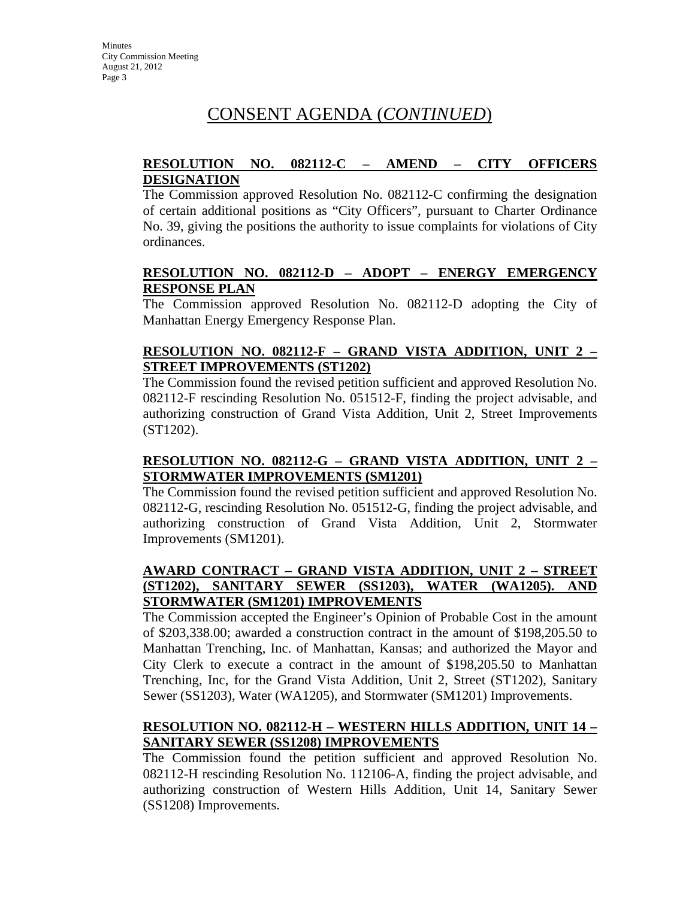### **RESOLUTION NO. 082112-C – AMEND – CITY OFFICERS DESIGNATION**

The Commission approved Resolution No. 082112-C confirming the designation of certain additional positions as "City Officers", pursuant to Charter Ordinance No. 39, giving the positions the authority to issue complaints for violations of City ordinances.

### **RESOLUTION NO. 082112-D – ADOPT – ENERGY EMERGENCY RESPONSE PLAN**

The Commission approved Resolution No. 082112-D adopting the City of Manhattan Energy Emergency Response Plan.

## **RESOLUTION NO. 082112-F – GRAND VISTA ADDITION, UNIT 2 – STREET IMPROVEMENTS (ST1202)**

The Commission found the revised petition sufficient and approved Resolution No. 082112-F rescinding Resolution No. 051512-F, finding the project advisable, and authorizing construction of Grand Vista Addition, Unit 2, Street Improvements (ST1202).

## **RESOLUTION NO. 082112-G – GRAND VISTA ADDITION, UNIT 2 – STORMWATER IMPROVEMENTS (SM1201)**

The Commission found the revised petition sufficient and approved Resolution No. 082112-G, rescinding Resolution No. 051512-G, finding the project advisable, and authorizing construction of Grand Vista Addition, Unit 2, Stormwater Improvements (SM1201).

## **AWARD CONTRACT – GRAND VISTA ADDITION, UNIT 2 – STREET (ST1202), SANITARY SEWER (SS1203), WATER (WA1205). AND STORMWATER (SM1201) IMPROVEMENTS**

The Commission accepted the Engineer's Opinion of Probable Cost in the amount of \$203,338.00; awarded a construction contract in the amount of \$198,205.50 to Manhattan Trenching, Inc. of Manhattan, Kansas; and authorized the Mayor and City Clerk to execute a contract in the amount of \$198,205.50 to Manhattan Trenching, Inc, for the Grand Vista Addition, Unit 2, Street (ST1202), Sanitary Sewer (SS1203), Water (WA1205), and Stormwater (SM1201) Improvements.

## **RESOLUTION NO. 082112-H – WESTERN HILLS ADDITION, UNIT 14 – SANITARY SEWER (SS1208) IMPROVEMENTS**

The Commission found the petition sufficient and approved Resolution No. 082112-H rescinding Resolution No. 112106-A, finding the project advisable, and authorizing construction of Western Hills Addition, Unit 14, Sanitary Sewer (SS1208) Improvements.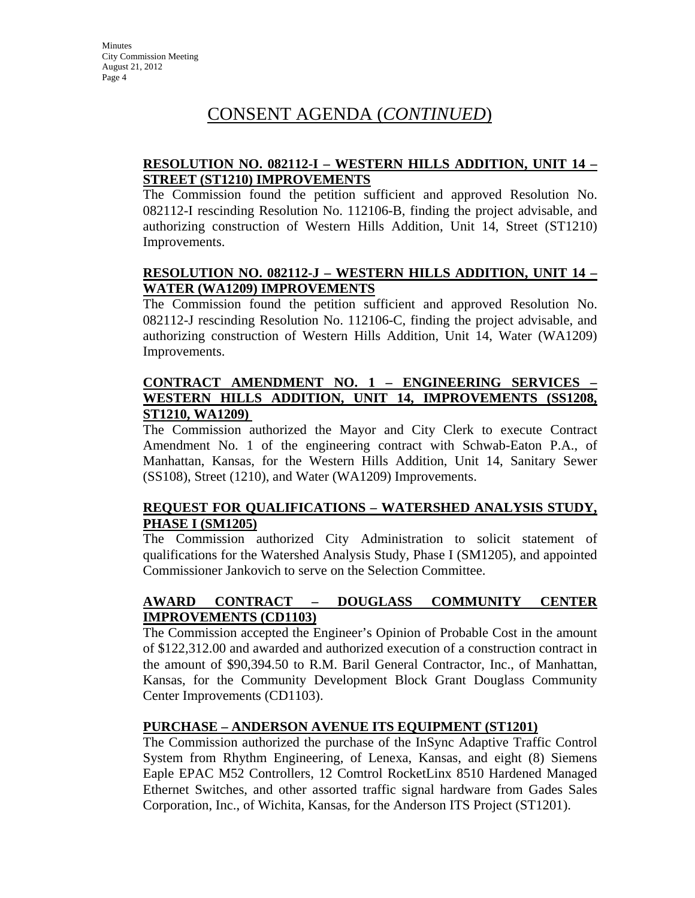## **RESOLUTION NO. 082112-I – WESTERN HILLS ADDITION, UNIT 14 – STREET (ST1210) IMPROVEMENTS**

The Commission found the petition sufficient and approved Resolution No. 082112-I rescinding Resolution No. 112106-B, finding the project advisable, and authorizing construction of Western Hills Addition, Unit 14, Street (ST1210) Improvements.

## **RESOLUTION NO. 082112-J – WESTERN HILLS ADDITION, UNIT 14 – WATER (WA1209) IMPROVEMENTS**

The Commission found the petition sufficient and approved Resolution No. 082112-J rescinding Resolution No. 112106-C, finding the project advisable, and authorizing construction of Western Hills Addition, Unit 14, Water (WA1209) Improvements.

## **CONTRACT AMENDMENT NO. 1 – ENGINEERING SERVICES – WESTERN HILLS ADDITION, UNIT 14, IMPROVEMENTS (SS1208, ST1210, WA1209)**

The Commission authorized the Mayor and City Clerk to execute Contract Amendment No. 1 of the engineering contract with Schwab-Eaton P.A., of Manhattan, Kansas, for the Western Hills Addition, Unit 14, Sanitary Sewer (SS108), Street (1210), and Water (WA1209) Improvements.

## **REQUEST FOR QUALIFICATIONS – WATERSHED ANALYSIS STUDY, PHASE I (SM1205)**

The Commission authorized City Administration to solicit statement of qualifications for the Watershed Analysis Study, Phase I (SM1205), and appointed Commissioner Jankovich to serve on the Selection Committee.

## **AWARD CONTRACT – DOUGLASS COMMUNITY CENTER IMPROVEMENTS (CD1103)**

The Commission accepted the Engineer's Opinion of Probable Cost in the amount of \$122,312.00 and awarded and authorized execution of a construction contract in the amount of \$90,394.50 to R.M. Baril General Contractor, Inc., of Manhattan, Kansas, for the Community Development Block Grant Douglass Community Center Improvements (CD1103).

## **PURCHASE – ANDERSON AVENUE ITS EQUIPMENT (ST1201)**

The Commission authorized the purchase of the InSync Adaptive Traffic Control System from Rhythm Engineering, of Lenexa, Kansas, and eight (8) Siemens Eaple EPAC M52 Controllers, 12 Comtrol RocketLinx 8510 Hardened Managed Ethernet Switches, and other assorted traffic signal hardware from Gades Sales Corporation, Inc., of Wichita, Kansas, for the Anderson ITS Project (ST1201).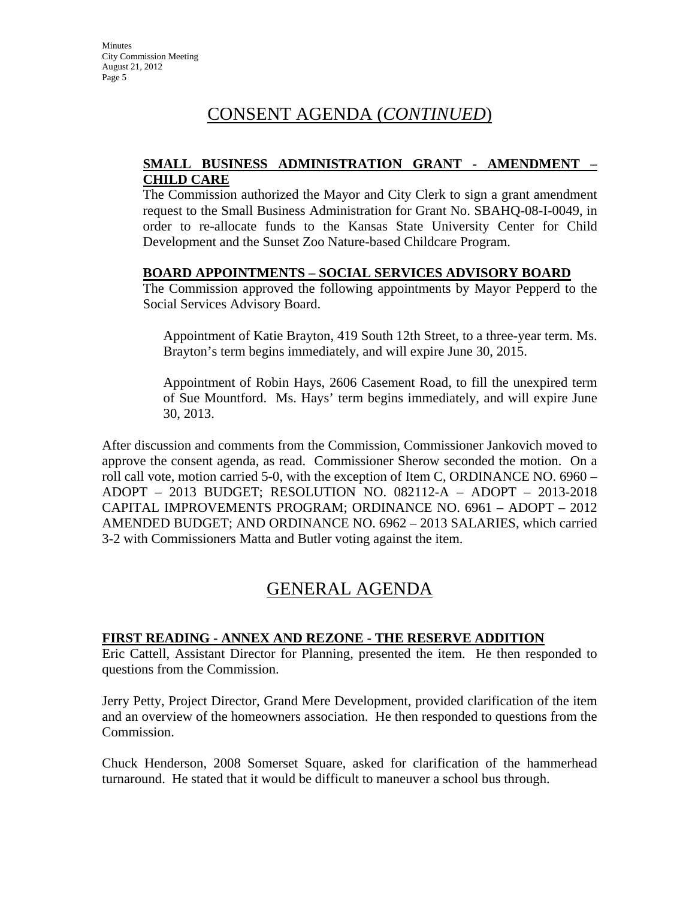### **SMALL BUSINESS ADMINISTRATION GRANT - AMENDMENT – CHILD CARE**

The Commission authorized the Mayor and City Clerk to sign a grant amendment request to the Small Business Administration for Grant No. SBAHQ-08-I-0049, in order to re-allocate funds to the Kansas State University Center for Child Development and the Sunset Zoo Nature-based Childcare Program.

#### **BOARD APPOINTMENTS – SOCIAL SERVICES ADVISORY BOARD**

The Commission approved the following appointments by Mayor Pepperd to the Social Services Advisory Board.

Appointment of Katie Brayton, 419 South 12th Street, to a three-year term. Ms. Brayton's term begins immediately, and will expire June 30, 2015.

Appointment of Robin Hays, 2606 Casement Road, to fill the unexpired term of Sue Mountford. Ms. Hays' term begins immediately, and will expire June 30, 2013.

After discussion and comments from the Commission, Commissioner Jankovich moved to approve the consent agenda, as read. Commissioner Sherow seconded the motion. On a roll call vote, motion carried 5-0, with the exception of Item C, ORDINANCE NO. 6960 – ADOPT – 2013 BUDGET; RESOLUTION NO. 082112-A – ADOPT – 2013-2018 CAPITAL IMPROVEMENTS PROGRAM; ORDINANCE NO. 6961 – ADOPT – 2012 AMENDED BUDGET; AND ORDINANCE NO. 6962 – 2013 SALARIES, which carried 3-2 with Commissioners Matta and Butler voting against the item.

## GENERAL AGENDA

## **FIRST READING - ANNEX AND REZONE - THE RESERVE ADDITION**

Eric Cattell, Assistant Director for Planning, presented the item. He then responded to questions from the Commission.

Jerry Petty, Project Director, Grand Mere Development, provided clarification of the item and an overview of the homeowners association. He then responded to questions from the Commission.

Chuck Henderson, 2008 Somerset Square, asked for clarification of the hammerhead turnaround. He stated that it would be difficult to maneuver a school bus through.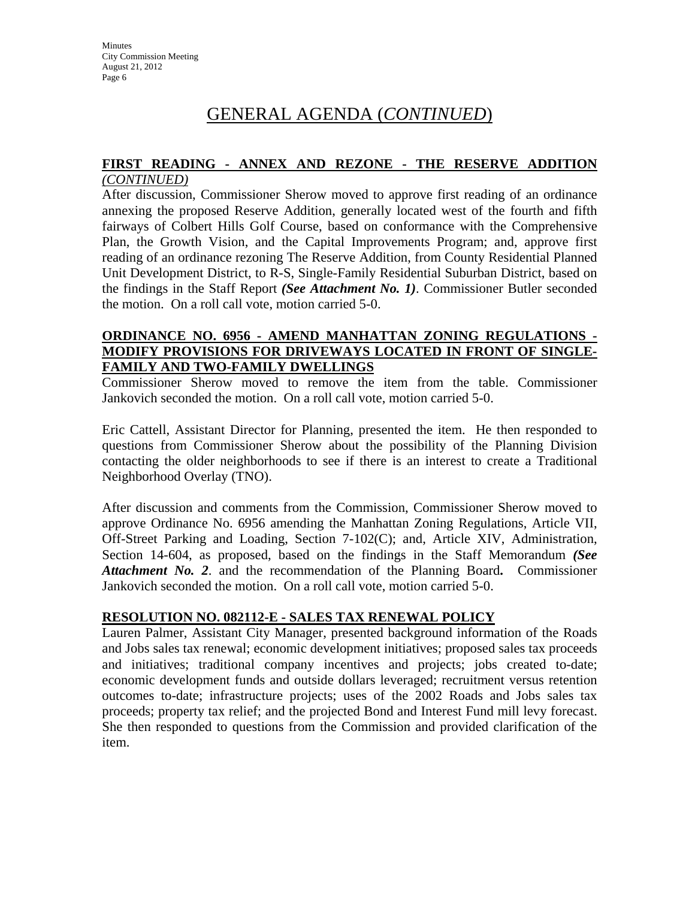# GENERAL AGENDA (*CONTINUED*)

# **FIRST READING - ANNEX AND REZONE - THE RESERVE ADDITION**

### *(CONTINUED)*

After discussion, Commissioner Sherow moved to approve first reading of an ordinance annexing the proposed Reserve Addition, generally located west of the fourth and fifth fairways of Colbert Hills Golf Course, based on conformance with the Comprehensive Plan, the Growth Vision, and the Capital Improvements Program; and, approve first reading of an ordinance rezoning The Reserve Addition, from County Residential Planned Unit Development District, to R-S, Single-Family Residential Suburban District, based on the findings in the Staff Report *(See Attachment No. 1)*. Commissioner Butler seconded the motion. On a roll call vote, motion carried 5-0.

### **ORDINANCE NO. 6956 - AMEND MANHATTAN ZONING REGULATIONS - MODIFY PROVISIONS FOR DRIVEWAYS LOCATED IN FRONT OF SINGLE-FAMILY AND TWO-FAMILY DWELLINGS**

Commissioner Sherow moved to remove the item from the table. Commissioner Jankovich seconded the motion. On a roll call vote, motion carried 5-0.

Eric Cattell, Assistant Director for Planning, presented the item. He then responded to questions from Commissioner Sherow about the possibility of the Planning Division contacting the older neighborhoods to see if there is an interest to create a Traditional Neighborhood Overlay (TNO).

After discussion and comments from the Commission, Commissioner Sherow moved to approve Ordinance No. 6956 amending the Manhattan Zoning Regulations, Article VII, Off-Street Parking and Loading, Section 7-102(C); and, Article XIV, Administration, Section 14-604, as proposed, based on the findings in the Staff Memorandum *(See Attachment No. 2*. and the recommendation of the Planning Board**.** Commissioner Jankovich seconded the motion. On a roll call vote, motion carried 5-0.

## **RESOLUTION NO. 082112-E - SALES TAX RENEWAL POLICY**

Lauren Palmer, Assistant City Manager, presented background information of the Roads and Jobs sales tax renewal; economic development initiatives; proposed sales tax proceeds and initiatives; traditional company incentives and projects; jobs created to-date; economic development funds and outside dollars leveraged; recruitment versus retention outcomes to-date; infrastructure projects; uses of the 2002 Roads and Jobs sales tax proceeds; property tax relief; and the projected Bond and Interest Fund mill levy forecast. She then responded to questions from the Commission and provided clarification of the item.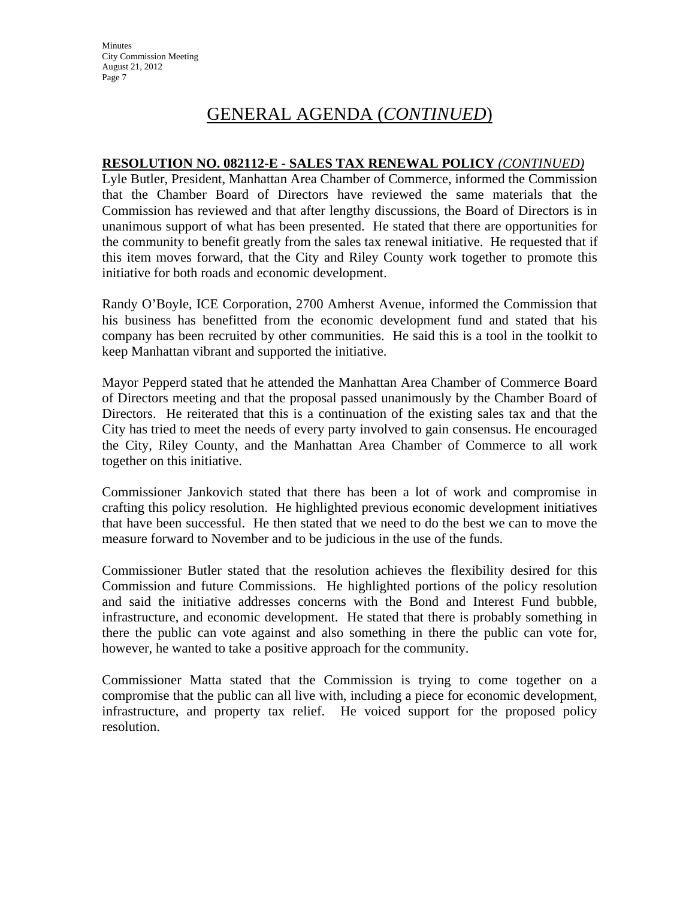# GENERAL AGENDA (*CONTINUED*)

#### **RESOLUTION NO. 082112-E - SALES TAX RENEWAL POLICY** *(CONTINUED)*

Lyle Butler, President, Manhattan Area Chamber of Commerce, informed the Commission that the Chamber Board of Directors have reviewed the same materials that the Commission has reviewed and that after lengthy discussions, the Board of Directors is in unanimous support of what has been presented. He stated that there are opportunities for the community to benefit greatly from the sales tax renewal initiative. He requested that if this item moves forward, that the City and Riley County work together to promote this initiative for both roads and economic development.

Randy O'Boyle, ICE Corporation, 2700 Amherst Avenue, informed the Commission that his business has benefitted from the economic development fund and stated that his company has been recruited by other communities. He said this is a tool in the toolkit to keep Manhattan vibrant and supported the initiative.

Mayor Pepperd stated that he attended the Manhattan Area Chamber of Commerce Board of Directors meeting and that the proposal passed unanimously by the Chamber Board of Directors. He reiterated that this is a continuation of the existing sales tax and that the City has tried to meet the needs of every party involved to gain consensus. He encouraged the City, Riley County, and the Manhattan Area Chamber of Commerce to all work together on this initiative.

Commissioner Jankovich stated that there has been a lot of work and compromise in crafting this policy resolution. He highlighted previous economic development initiatives that have been successful. He then stated that we need to do the best we can to move the measure forward to November and to be judicious in the use of the funds.

Commissioner Butler stated that the resolution achieves the flexibility desired for this Commission and future Commissions. He highlighted portions of the policy resolution and said the initiative addresses concerns with the Bond and Interest Fund bubble, infrastructure, and economic development. He stated that there is probably something in there the public can vote against and also something in there the public can vote for, however, he wanted to take a positive approach for the community.

Commissioner Matta stated that the Commission is trying to come together on a compromise that the public can all live with, including a piece for economic development, infrastructure, and property tax relief. He voiced support for the proposed policy resolution.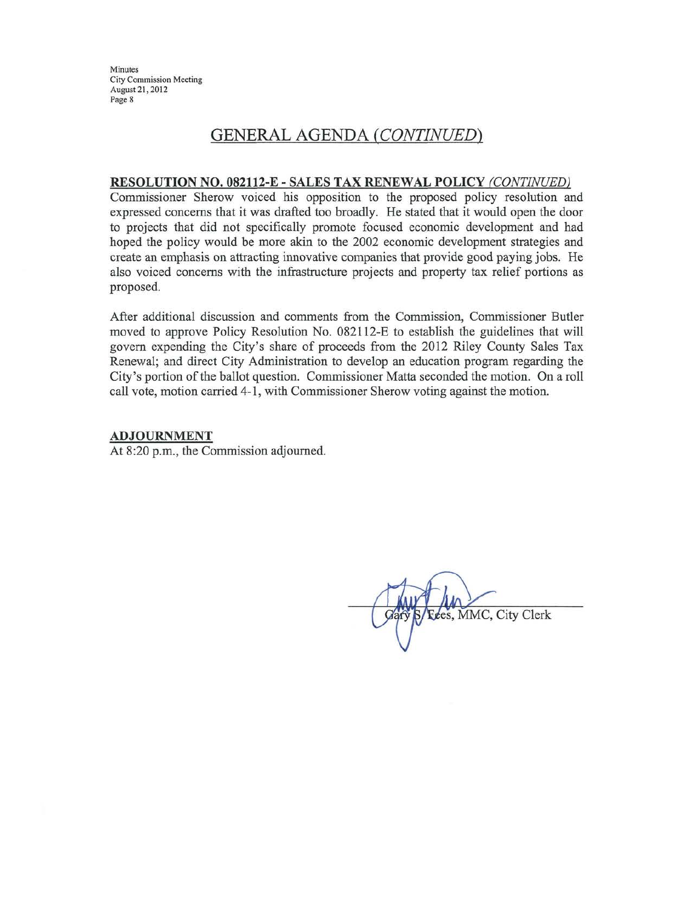Minutes **City Commission Meeting** August 21, 2012 Page 8

## **GENERAL AGENDA (CONTINUED)**

#### RESOLUTION NO. 082112-E - SALES TAX RENEWAL POLICY (CONTINUED)

Commissioner Sherow voiced his opposition to the proposed policy resolution and expressed concerns that it was drafted too broadly. He stated that it would open the door to projects that did not specifically promote focused economic development and had hoped the policy would be more akin to the 2002 economic development strategies and create an emphasis on attracting innovative companies that provide good paying jobs. He also voiced concerns with the infrastructure projects and property tax relief portions as proposed.

After additional discussion and comments from the Commission, Commissioner Butler moved to approve Policy Resolution No. 082112-E to establish the guidelines that will govern expending the City's share of proceeds from the 2012 Riley County Sales Tax Renewal; and direct City Administration to develop an education program regarding the City's portion of the ballot question. Commissioner Matta seconded the motion. On a roll call vote, motion carried 4-1, with Commissioner Sherow voting against the motion.

#### **ADJOURNMENT**

At 8:20 p.m., the Commission adjourned.

Fees, MMC, City Clerk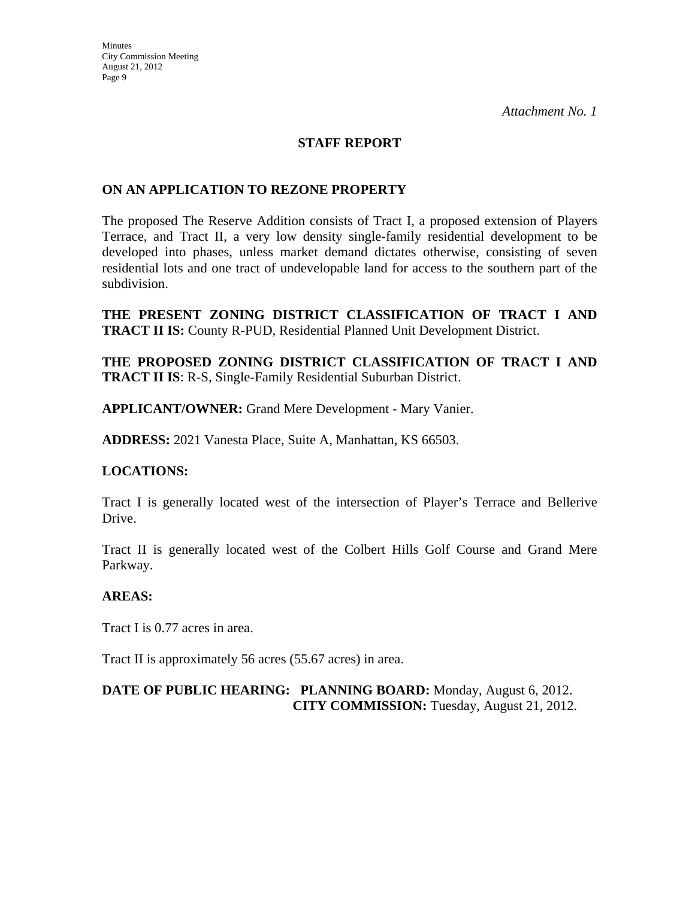### **STAFF REPORT**

#### **ON AN APPLICATION TO REZONE PROPERTY**

The proposed The Reserve Addition consists of Tract I, a proposed extension of Players Terrace, and Tract II, a very low density single-family residential development to be developed into phases, unless market demand dictates otherwise, consisting of seven residential lots and one tract of undevelopable land for access to the southern part of the subdivision.

**THE PRESENT ZONING DISTRICT CLASSIFICATION OF TRACT I AND TRACT II IS:** County R-PUD, Residential Planned Unit Development District.

**THE PROPOSED ZONING DISTRICT CLASSIFICATION OF TRACT I AND TRACT II IS**: R-S, Single-Family Residential Suburban District.

**APPLICANT/OWNER:** Grand Mere Development - Mary Vanier.

**ADDRESS:** 2021 Vanesta Place, Suite A, Manhattan, KS 66503.

#### **LOCATIONS:**

Tract I is generally located west of the intersection of Player's Terrace and Bellerive Drive.

Tract II is generally located west of the Colbert Hills Golf Course and Grand Mere Parkway.

#### **AREAS:**

Tract I is 0.77 acres in area.

Tract II is approximately 56 acres (55.67 acres) in area.

## **DATE OF PUBLIC HEARING: PLANNING BOARD:** Monday, August 6, 2012. **CITY COMMISSION:** Tuesday, August 21, 2012.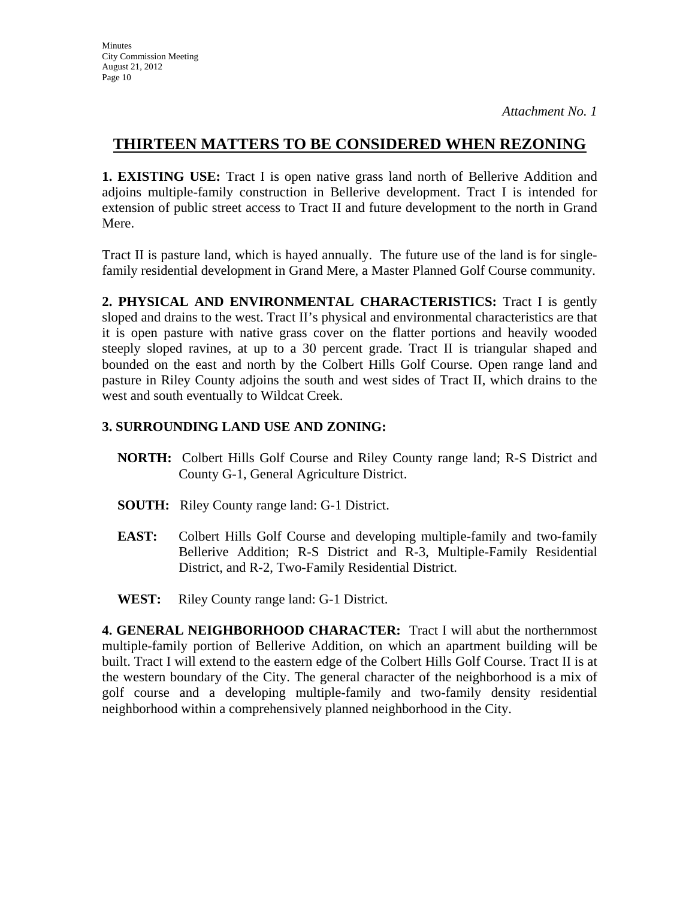## **THIRTEEN MATTERS TO BE CONSIDERED WHEN REZONING**

**1. EXISTING USE:** Tract I is open native grass land north of Bellerive Addition and adjoins multiple-family construction in Bellerive development. Tract I is intended for extension of public street access to Tract II and future development to the north in Grand Mere.

Tract II is pasture land, which is hayed annually. The future use of the land is for singlefamily residential development in Grand Mere, a Master Planned Golf Course community.

**2. PHYSICAL AND ENVIRONMENTAL CHARACTERISTICS:** Tract I is gently sloped and drains to the west. Tract II's physical and environmental characteristics are that it is open pasture with native grass cover on the flatter portions and heavily wooded steeply sloped ravines, at up to a 30 percent grade. Tract II is triangular shaped and bounded on the east and north by the Colbert Hills Golf Course. Open range land and pasture in Riley County adjoins the south and west sides of Tract II, which drains to the west and south eventually to Wildcat Creek.

## **3. SURROUNDING LAND USE AND ZONING:**

- **NORTH:** Colbert Hills Golf Course and Riley County range land; R-S District and County G-1, General Agriculture District.
- **SOUTH:** Riley County range land: G-1 District.
- **EAST:** Colbert Hills Golf Course and developing multiple-family and two-family Bellerive Addition; R-S District and R-3, Multiple-Family Residential District, and R-2, Two-Family Residential District.
- **WEST:** Riley County range land: G-1 District.

**4. GENERAL NEIGHBORHOOD CHARACTER:** Tract I will abut the northernmost multiple-family portion of Bellerive Addition, on which an apartment building will be built. Tract I will extend to the eastern edge of the Colbert Hills Golf Course. Tract II is at the western boundary of the City. The general character of the neighborhood is a mix of golf course and a developing multiple-family and two-family density residential neighborhood within a comprehensively planned neighborhood in the City.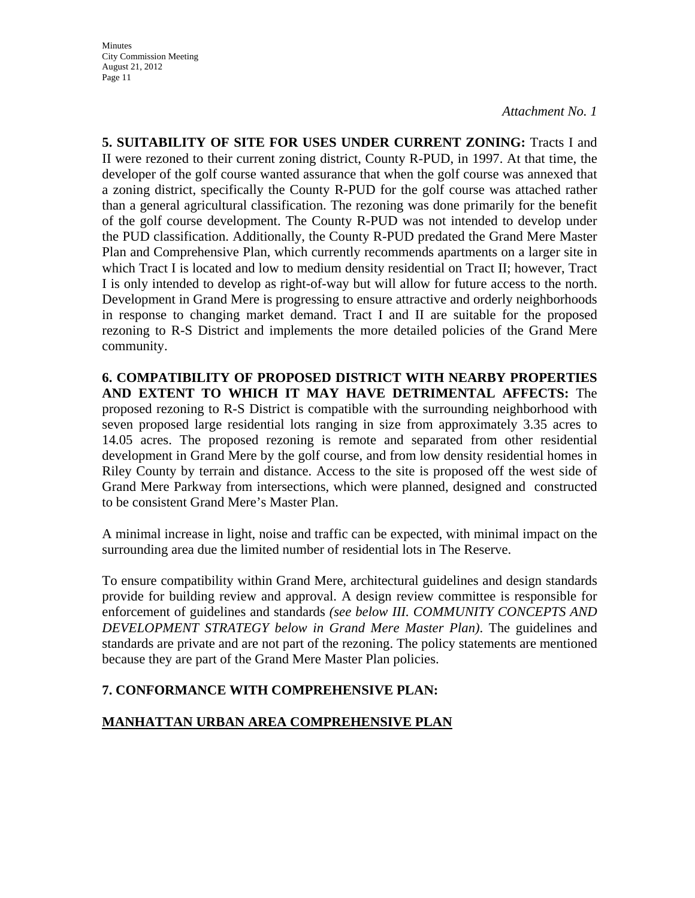**5. SUITABILITY OF SITE FOR USES UNDER CURRENT ZONING:** Tracts I and II were rezoned to their current zoning district, County R-PUD, in 1997. At that time, the developer of the golf course wanted assurance that when the golf course was annexed that a zoning district, specifically the County R-PUD for the golf course was attached rather than a general agricultural classification. The rezoning was done primarily for the benefit of the golf course development. The County R-PUD was not intended to develop under the PUD classification. Additionally, the County R-PUD predated the Grand Mere Master Plan and Comprehensive Plan, which currently recommends apartments on a larger site in which Tract I is located and low to medium density residential on Tract II; however, Tract I is only intended to develop as right-of-way but will allow for future access to the north. Development in Grand Mere is progressing to ensure attractive and orderly neighborhoods in response to changing market demand. Tract I and II are suitable for the proposed rezoning to R-S District and implements the more detailed policies of the Grand Mere community.

**6. COMPATIBILITY OF PROPOSED DISTRICT WITH NEARBY PROPERTIES AND EXTENT TO WHICH IT MAY HAVE DETRIMENTAL AFFECTS:** The proposed rezoning to R-S District is compatible with the surrounding neighborhood with seven proposed large residential lots ranging in size from approximately 3.35 acres to 14.05 acres. The proposed rezoning is remote and separated from other residential development in Grand Mere by the golf course, and from low density residential homes in Riley County by terrain and distance. Access to the site is proposed off the west side of Grand Mere Parkway from intersections, which were planned, designed and constructed to be consistent Grand Mere's Master Plan.

A minimal increase in light, noise and traffic can be expected, with minimal impact on the surrounding area due the limited number of residential lots in The Reserve.

To ensure compatibility within Grand Mere, architectural guidelines and design standards provide for building review and approval. A design review committee is responsible for enforcement of guidelines and standards *(see below III. COMMUNITY CONCEPTS AND DEVELOPMENT STRATEGY below in Grand Mere Master Plan)*. The guidelines and standards are private and are not part of the rezoning. The policy statements are mentioned because they are part of the Grand Mere Master Plan policies.

## **7. CONFORMANCE WITH COMPREHENSIVE PLAN:**

## **MANHATTAN URBAN AREA COMPREHENSIVE PLAN**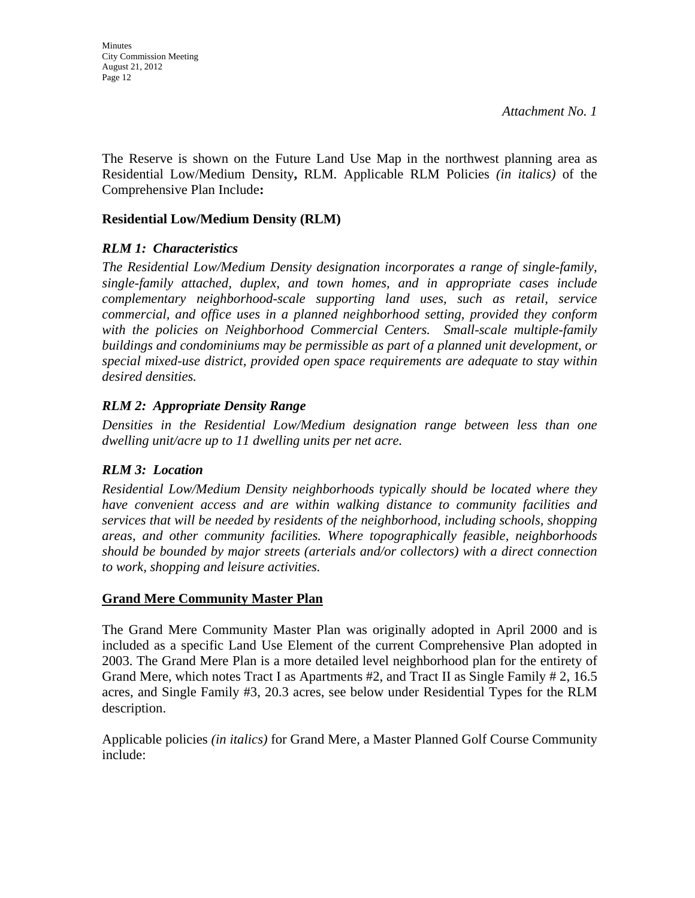The Reserve is shown on the Future Land Use Map in the northwest planning area as Residential Low/Medium Density**,** RLM. Applicable RLM Policies *(in italics)* of the Comprehensive Plan Include**:**

### **Residential Low/Medium Density (RLM)**

#### *RLM 1: Characteristics*

*The Residential Low/Medium Density designation incorporates a range of single-family, single-family attached, duplex, and town homes, and in appropriate cases include complementary neighborhood-scale supporting land uses, such as retail, service commercial, and office uses in a planned neighborhood setting, provided they conform*  with the policies on Neighborhood Commercial Centers. Small-scale multiple-family *buildings and condominiums may be permissible as part of a planned unit development, or special mixed-use district, provided open space requirements are adequate to stay within desired densities.* 

## *RLM 2: Appropriate Density Range*

*Densities in the Residential Low/Medium designation range between less than one dwelling unit/acre up to 11 dwelling units per net acre.* 

## *RLM 3: Location*

*Residential Low/Medium Density neighborhoods typically should be located where they have convenient access and are within walking distance to community facilities and services that will be needed by residents of the neighborhood, including schools, shopping areas, and other community facilities. Where topographically feasible, neighborhoods should be bounded by major streets (arterials and/or collectors) with a direct connection to work, shopping and leisure activities.* 

## **Grand Mere Community Master Plan**

The Grand Mere Community Master Plan was originally adopted in April 2000 and is included as a specific Land Use Element of the current Comprehensive Plan adopted in 2003. The Grand Mere Plan is a more detailed level neighborhood plan for the entirety of Grand Mere, which notes Tract I as Apartments #2, and Tract II as Single Family # 2, 16.5 acres, and Single Family #3, 20.3 acres, see below under Residential Types for the RLM description.

Applicable policies *(in italics)* for Grand Mere, a Master Planned Golf Course Community include: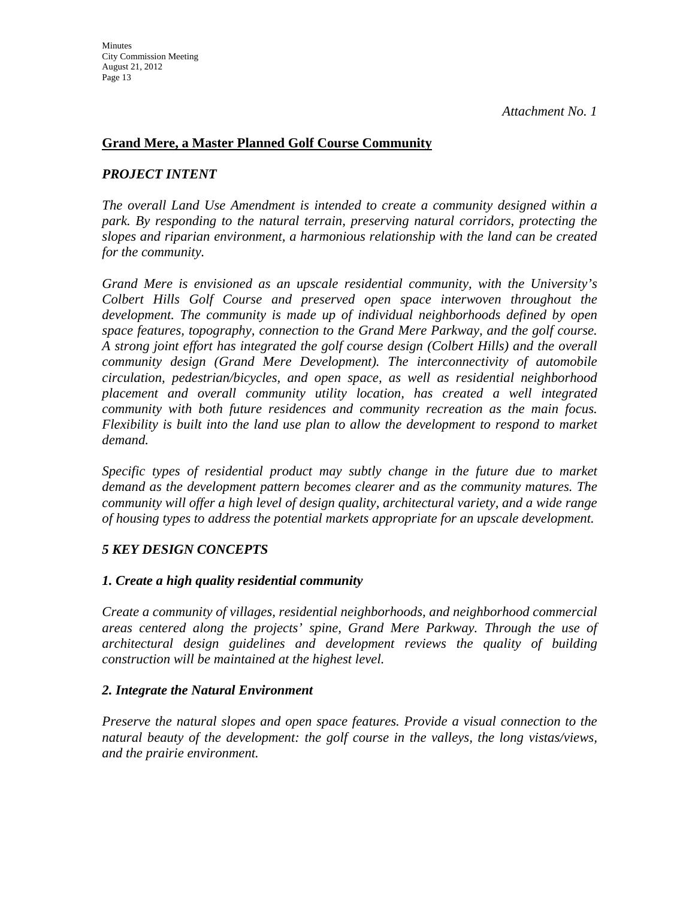## **Grand Mere, a Master Planned Golf Course Community**

## *PROJECT INTENT*

*The overall Land Use Amendment is intended to create a community designed within a park. By responding to the natural terrain, preserving natural corridors, protecting the slopes and riparian environment, a harmonious relationship with the land can be created for the community.* 

*Grand Mere is envisioned as an upscale residential community, with the University's Colbert Hills Golf Course and preserved open space interwoven throughout the development. The community is made up of individual neighborhoods defined by open space features, topography, connection to the Grand Mere Parkway, and the golf course. A strong joint effort has integrated the golf course design (Colbert Hills) and the overall community design (Grand Mere Development). The interconnectivity of automobile circulation, pedestrian/bicycles, and open space, as well as residential neighborhood placement and overall community utility location, has created a well integrated community with both future residences and community recreation as the main focus. Flexibility is built into the land use plan to allow the development to respond to market demand.* 

*Specific types of residential product may subtly change in the future due to market demand as the development pattern becomes clearer and as the community matures. The community will offer a high level of design quality, architectural variety, and a wide range of housing types to address the potential markets appropriate for an upscale development.* 

## *5 KEY DESIGN CONCEPTS*

## *1. Create a high quality residential community*

*Create a community of villages, residential neighborhoods, and neighborhood commercial areas centered along the projects' spine, Grand Mere Parkway. Through the use of architectural design guidelines and development reviews the quality of building construction will be maintained at the highest level.* 

## *2. Integrate the Natural Environment*

*Preserve the natural slopes and open space features. Provide a visual connection to the natural beauty of the development: the golf course in the valleys, the long vistas/views, and the prairie environment.*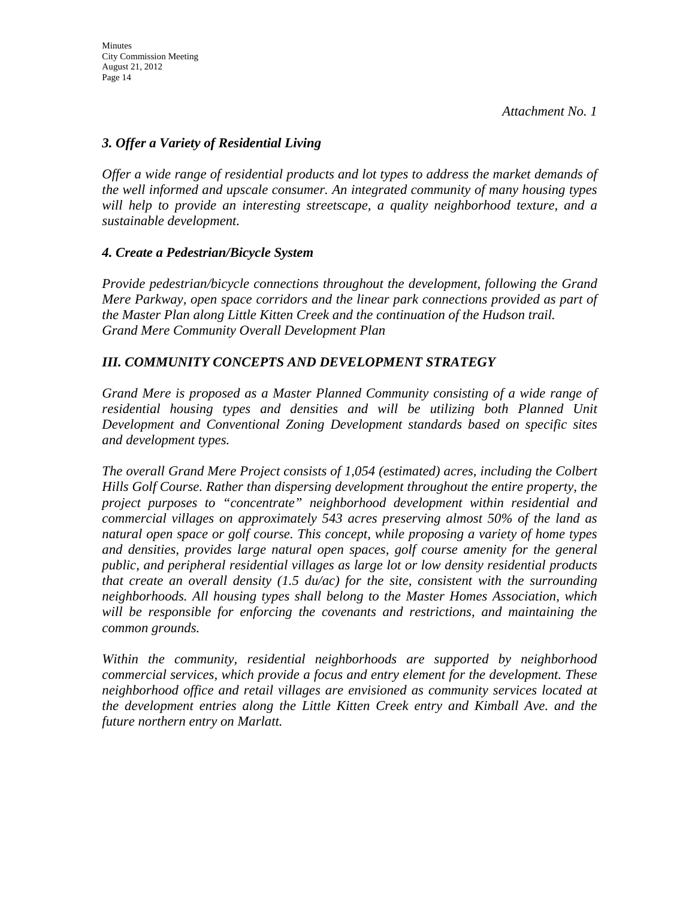## *3. Offer a Variety of Residential Living*

*Offer a wide range of residential products and lot types to address the market demands of the well informed and upscale consumer. An integrated community of many housing types will help to provide an interesting streetscape, a quality neighborhood texture, and a sustainable development.* 

## *4. Create a Pedestrian/Bicycle System*

*Provide pedestrian/bicycle connections throughout the development, following the Grand Mere Parkway, open space corridors and the linear park connections provided as part of the Master Plan along Little Kitten Creek and the continuation of the Hudson trail. Grand Mere Community Overall Development Plan* 

## *III. COMMUNITY CONCEPTS AND DEVELOPMENT STRATEGY*

*Grand Mere is proposed as a Master Planned Community consisting of a wide range of residential housing types and densities and will be utilizing both Planned Unit Development and Conventional Zoning Development standards based on specific sites and development types.* 

*The overall Grand Mere Project consists of 1,054 (estimated) acres, including the Colbert Hills Golf Course. Rather than dispersing development throughout the entire property, the project purposes to "concentrate" neighborhood development within residential and commercial villages on approximately 543 acres preserving almost 50% of the land as natural open space or golf course. This concept, while proposing a variety of home types and densities, provides large natural open spaces, golf course amenity for the general public, and peripheral residential villages as large lot or low density residential products that create an overall density (1.5 du/ac) for the site, consistent with the surrounding neighborhoods. All housing types shall belong to the Master Homes Association, which will be responsible for enforcing the covenants and restrictions, and maintaining the common grounds.* 

*Within the community, residential neighborhoods are supported by neighborhood commercial services, which provide a focus and entry element for the development. These neighborhood office and retail villages are envisioned as community services located at the development entries along the Little Kitten Creek entry and Kimball Ave. and the future northern entry on Marlatt.*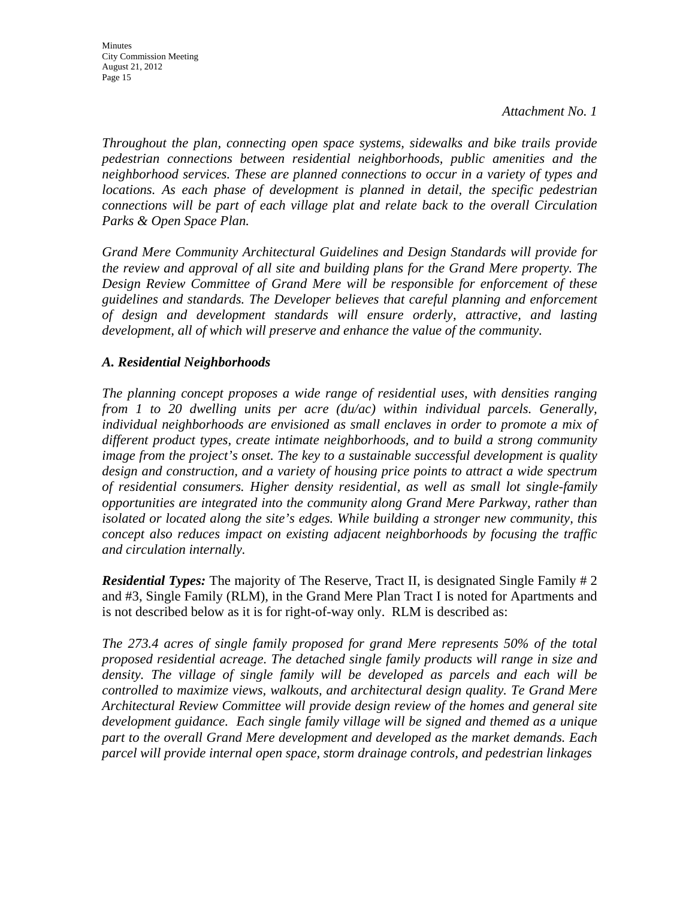*Throughout the plan, connecting open space systems, sidewalks and bike trails provide pedestrian connections between residential neighborhoods, public amenities and the neighborhood services. These are planned connections to occur in a variety of types and locations. As each phase of development is planned in detail, the specific pedestrian connections will be part of each village plat and relate back to the overall Circulation Parks & Open Space Plan.* 

*Grand Mere Community Architectural Guidelines and Design Standards will provide for the review and approval of all site and building plans for the Grand Mere property. The Design Review Committee of Grand Mere will be responsible for enforcement of these guidelines and standards. The Developer believes that careful planning and enforcement of design and development standards will ensure orderly, attractive, and lasting development, all of which will preserve and enhance the value of the community.* 

## *A. Residential Neighborhoods*

*The planning concept proposes a wide range of residential uses, with densities ranging from 1 to 20 dwelling units per acre (du/ac) within individual parcels. Generally, individual neighborhoods are envisioned as small enclaves in order to promote a mix of different product types, create intimate neighborhoods, and to build a strong community image from the project's onset. The key to a sustainable successful development is quality design and construction, and a variety of housing price points to attract a wide spectrum of residential consumers. Higher density residential, as well as small lot single-family opportunities are integrated into the community along Grand Mere Parkway, rather than isolated or located along the site's edges. While building a stronger new community, this concept also reduces impact on existing adjacent neighborhoods by focusing the traffic and circulation internally.* 

*Residential Types:* The majority of The Reserve, Tract II, is designated Single Family # 2 and #3, Single Family (RLM), in the Grand Mere Plan Tract I is noted for Apartments and is not described below as it is for right-of-way only. RLM is described as:

*The 273.4 acres of single family proposed for grand Mere represents 50% of the total proposed residential acreage. The detached single family products will range in size and*  density. The village of single family will be developed as parcels and each will be *controlled to maximize views, walkouts, and architectural design quality. Te Grand Mere Architectural Review Committee will provide design review of the homes and general site development guidance. Each single family village will be signed and themed as a unique part to the overall Grand Mere development and developed as the market demands. Each parcel will provide internal open space, storm drainage controls, and pedestrian linkages*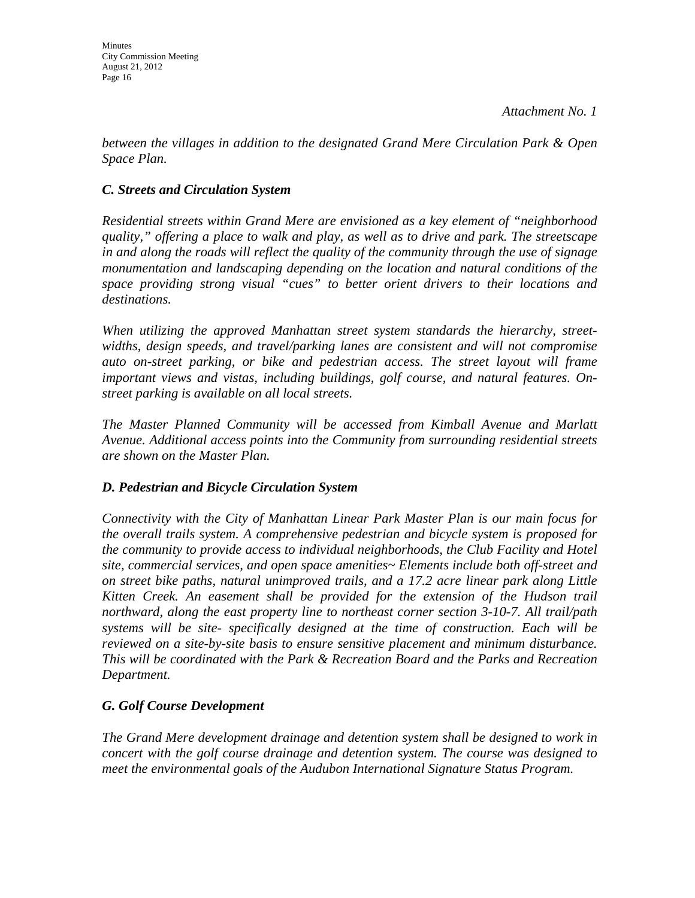*between the villages in addition to the designated Grand Mere Circulation Park & Open Space Plan.* 

## *C. Streets and Circulation System*

*Residential streets within Grand Mere are envisioned as a key element of "neighborhood quality," offering a place to walk and play, as well as to drive and park. The streetscape in and along the roads will reflect the quality of the community through the use of signage monumentation and landscaping depending on the location and natural conditions of the space providing strong visual "cues" to better orient drivers to their locations and destinations.* 

*When utilizing the approved Manhattan street system standards the hierarchy, streetwidths, design speeds, and travel/parking lanes are consistent and will not compromise auto on-street parking, or bike and pedestrian access. The street layout will frame important views and vistas, including buildings, golf course, and natural features. Onstreet parking is available on all local streets.* 

*The Master Planned Community will be accessed from Kimball Avenue and Marlatt Avenue. Additional access points into the Community from surrounding residential streets are shown on the Master Plan.* 

## *D. Pedestrian and Bicycle Circulation System*

*Connectivity with the City of Manhattan Linear Park Master Plan is our main focus for the overall trails system. A comprehensive pedestrian and bicycle system is proposed for the community to provide access to individual neighborhoods, the Club Facility and Hotel site, commercial services, and open space amenities~ Elements include both off-street and on street bike paths, natural unimproved trails, and a 17.2 acre linear park along Little Kitten Creek. An easement shall be provided for the extension of the Hudson trail northward, along the east property line to northeast corner section 3-10-7. All trail/path systems will be site- specifically designed at the time of construction. Each will be reviewed on a site-by-site basis to ensure sensitive placement and minimum disturbance. This will be coordinated with the Park & Recreation Board and the Parks and Recreation Department.* 

## *G. Golf Course Development*

*The Grand Mere development drainage and detention system shall be designed to work in concert with the golf course drainage and detention system. The course was designed to meet the environmental goals of the Audubon International Signature Status Program.*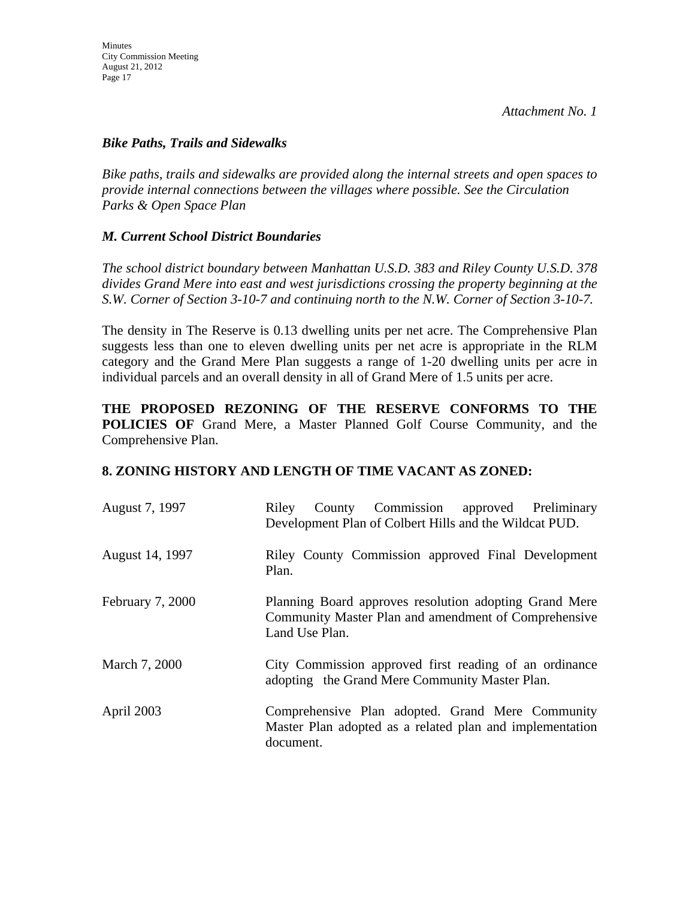## *Bike Paths, Trails and Sidewalks*

*Bike paths, trails and sidewalks are provided along the internal streets and open spaces to provide internal connections between the villages where possible. See the Circulation Parks & Open Space Plan* 

## *M. Current School District Boundaries*

*The school district boundary between Manhattan U.S.D. 383 and Riley County U.S.D. 378 divides Grand Mere into east and west jurisdictions crossing the property beginning at the S.W. Corner of Section 3-10-7 and continuing north to the N.W. Corner of Section 3-10-7.* 

The density in The Reserve is 0.13 dwelling units per net acre. The Comprehensive Plan suggests less than one to eleven dwelling units per net acre is appropriate in the RLM category and the Grand Mere Plan suggests a range of 1-20 dwelling units per acre in individual parcels and an overall density in all of Grand Mere of 1.5 units per acre.

**THE PROPOSED REZONING OF THE RESERVE CONFORMS TO THE POLICIES OF** Grand Mere, a Master Planned Golf Course Community, and the Comprehensive Plan.

## **8. ZONING HISTORY AND LENGTH OF TIME VACANT AS ZONED:**

| August 7, 1997          | County Commission approved Preliminary<br>Riley<br>Development Plan of Colbert Hills and the Wildcat PUD.                        |
|-------------------------|----------------------------------------------------------------------------------------------------------------------------------|
| August 14, 1997         | Riley County Commission approved Final Development<br>Plan.                                                                      |
| <b>February 7, 2000</b> | Planning Board approves resolution adopting Grand Mere<br>Community Master Plan and amendment of Comprehensive<br>Land Use Plan. |
| March 7, 2000           | City Commission approved first reading of an ordinance<br>adopting the Grand Mere Community Master Plan.                         |
| April 2003              | Comprehensive Plan adopted. Grand Mere Community<br>Master Plan adopted as a related plan and implementation<br>document.        |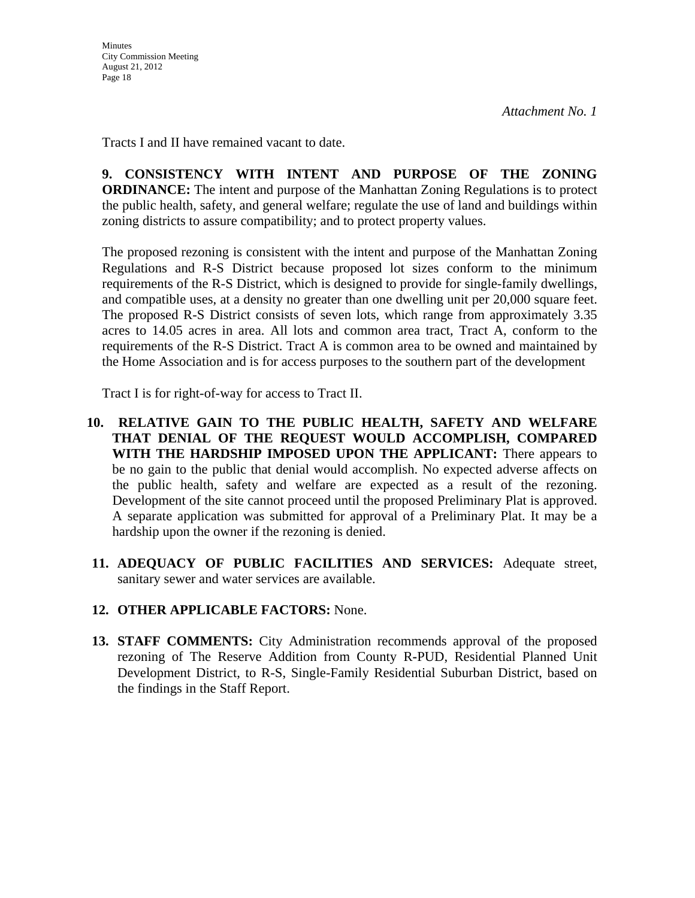Tracts I and II have remained vacant to date.

**9. CONSISTENCY WITH INTENT AND PURPOSE OF THE ZONING ORDINANCE:** The intent and purpose of the Manhattan Zoning Regulations is to protect the public health, safety, and general welfare; regulate the use of land and buildings within zoning districts to assure compatibility; and to protect property values.

The proposed rezoning is consistent with the intent and purpose of the Manhattan Zoning Regulations and R-S District because proposed lot sizes conform to the minimum requirements of the R-S District, which is designed to provide for single-family dwellings, and compatible uses, at a density no greater than one dwelling unit per 20,000 square feet. The proposed R-S District consists of seven lots, which range from approximately 3.35 acres to 14.05 acres in area. All lots and common area tract, Tract A, conform to the requirements of the R-S District. Tract A is common area to be owned and maintained by the Home Association and is for access purposes to the southern part of the development

Tract I is for right-of-way for access to Tract II.

- **10. RELATIVE GAIN TO THE PUBLIC HEALTH, SAFETY AND WELFARE THAT DENIAL OF THE REQUEST WOULD ACCOMPLISH, COMPARED WITH THE HARDSHIP IMPOSED UPON THE APPLICANT:** There appears to be no gain to the public that denial would accomplish. No expected adverse affects on the public health, safety and welfare are expected as a result of the rezoning. Development of the site cannot proceed until the proposed Preliminary Plat is approved. A separate application was submitted for approval of a Preliminary Plat. It may be a hardship upon the owner if the rezoning is denied.
- **11. ADEQUACY OF PUBLIC FACILITIES AND SERVICES:** Adequate street, sanitary sewer and water services are available.
- **12. OTHER APPLICABLE FACTORS:** None.
- **13. STAFF COMMENTS:** City Administration recommends approval of the proposed rezoning of The Reserve Addition from County R**-**PUD, Residential Planned Unit Development District, to R-S, Single-Family Residential Suburban District, based on the findings in the Staff Report.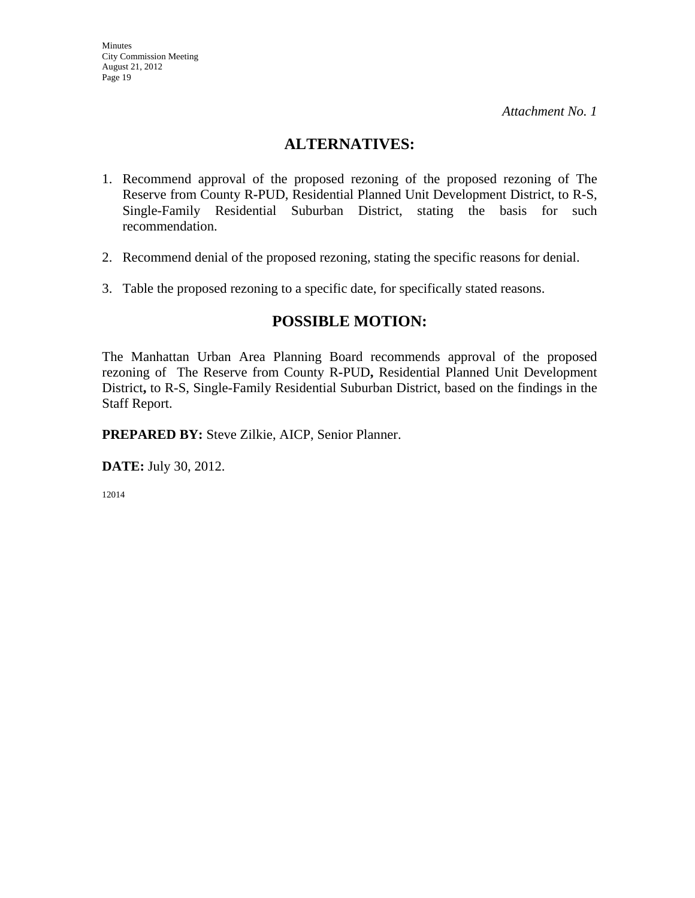## **ALTERNATIVES:**

- 1. Recommend approval of the proposed rezoning of the proposed rezoning of The Reserve from County R**-**PUD, Residential Planned Unit Development District, to R-S, Single-Family Residential Suburban District, stating the basis for such recommendation.
- 2. Recommend denial of the proposed rezoning, stating the specific reasons for denial.
- 3. Table the proposed rezoning to a specific date, for specifically stated reasons.

## **POSSIBLE MOTION:**

The Manhattan Urban Area Planning Board recommends approval of the proposed rezoning of The Reserve from County R**-**PUD**,** Residential Planned Unit Development District**,** to R-S, Single-Family Residential Suburban District, based on the findings in the Staff Report.

**PREPARED BY:** Steve Zilkie, AICP, Senior Planner.

**DATE:** July 30, 2012.

12014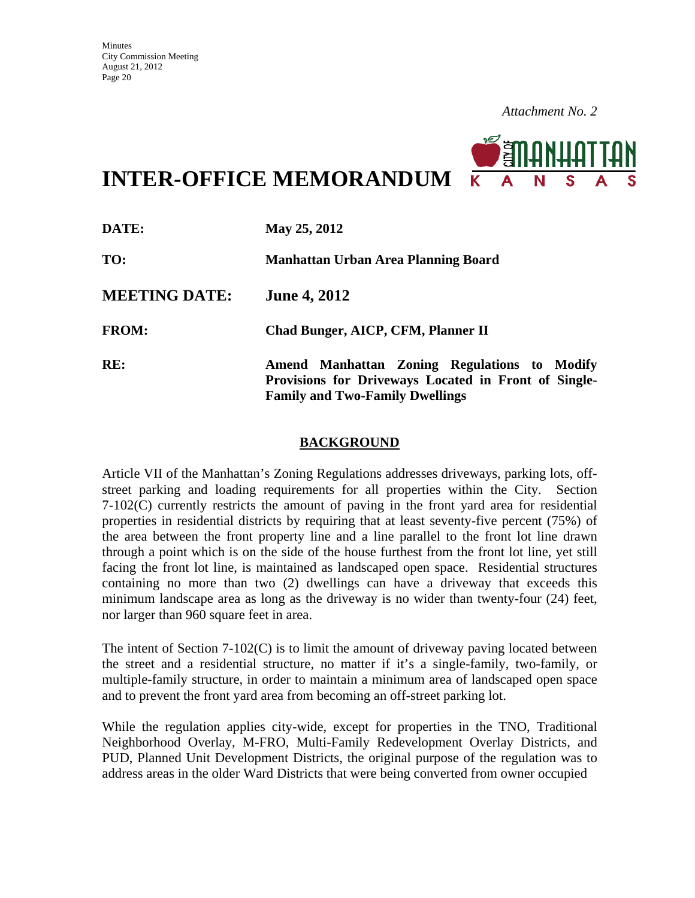**INTER-OFFICE MEMORANDUM**

| DATE:                | May 25, 2012                                                                                                                                   |
|----------------------|------------------------------------------------------------------------------------------------------------------------------------------------|
| TO:                  | Manhattan Urban Area Planning Board                                                                                                            |
| <b>MEETING DATE:</b> | <b>June 4, 2012</b>                                                                                                                            |
| <b>FROM:</b>         | Chad Bunger, AICP, CFM, Planner II                                                                                                             |
| RE:                  | Amend Manhattan Zoning Regulations to Modify<br>Provisions for Driveways Located in Front of Single-<br><b>Family and Two-Family Dwellings</b> |

#### **BACKGROUND**

Article VII of the Manhattan's Zoning Regulations addresses driveways, parking lots, offstreet parking and loading requirements for all properties within the City. Section 7-102(C) currently restricts the amount of paving in the front yard area for residential properties in residential districts by requiring that at least seventy-five percent (75%) of the area between the front property line and a line parallel to the front lot line drawn through a point which is on the side of the house furthest from the front lot line, yet still facing the front lot line, is maintained as landscaped open space.Residential structures containing no more than two (2) dwellings can have a driveway that exceeds this minimum landscape area as long as the driveway is no wider than twenty-four (24) feet, nor larger than 960 square feet in area.

The intent of Section  $7-102(C)$  is to limit the amount of driveway paving located between the street and a residential structure, no matter if it's a single-family, two-family, or multiple-family structure, in order to maintain a minimum area of landscaped open space and to prevent the front yard area from becoming an off-street parking lot.

While the regulation applies city-wide, except for properties in the TNO, Traditional Neighborhood Overlay, M-FRO, Multi-Family Redevelopment Overlay Districts, and PUD, Planned Unit Development Districts, the original purpose of the regulation was to address areas in the older Ward Districts that were being converted from owner occupied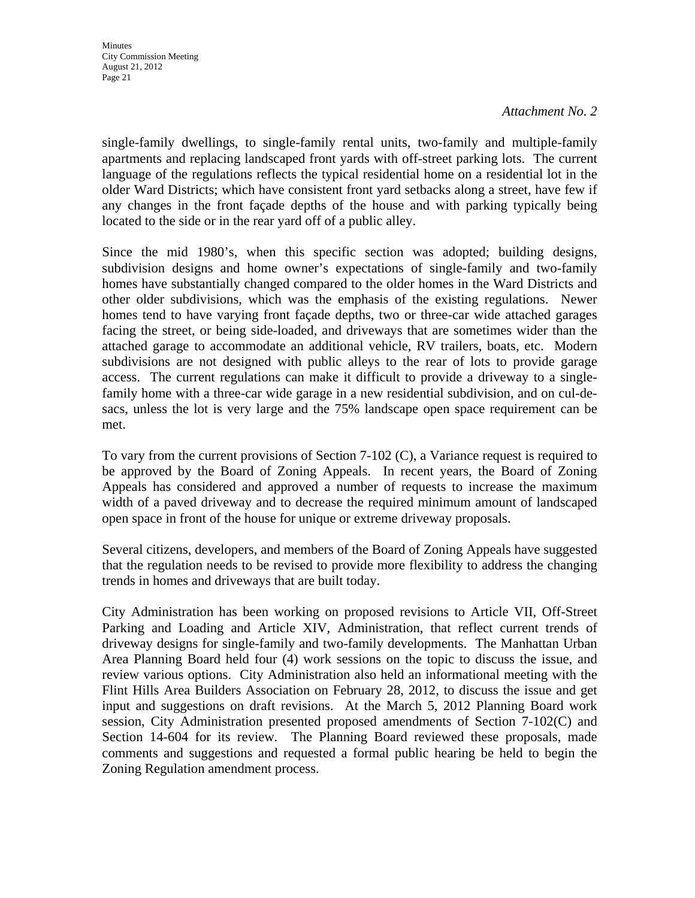single-family dwellings, to single-family rental units, two-family and multiple-family apartments and replacing landscaped front yards with off-street parking lots. The current language of the regulations reflects the typical residential home on a residential lot in the older Ward Districts; which have consistent front yard setbacks along a street, have few if any changes in the front façade depths of the house and with parking typically being located to the side or in the rear yard off of a public alley.

Since the mid 1980's, when this specific section was adopted; building designs, subdivision designs and home owner's expectations of single-family and two-family homes have substantially changed compared to the older homes in the Ward Districts and other older subdivisions, which was the emphasis of the existing regulations. Newer homes tend to have varying front façade depths, two or three-car wide attached garages facing the street, or being side-loaded, and driveways that are sometimes wider than the attached garage to accommodate an additional vehicle, RV trailers, boats, etc. Modern subdivisions are not designed with public alleys to the rear of lots to provide garage access. The current regulations can make it difficult to provide a driveway to a singlefamily home with a three-car wide garage in a new residential subdivision, and on cul-desacs, unless the lot is very large and the 75% landscape open space requirement can be met.

To vary from the current provisions of Section 7-102 (C), a Variance request is required to be approved by the Board of Zoning Appeals. In recent years, the Board of Zoning Appeals has considered and approved a number of requests to increase the maximum width of a paved driveway and to decrease the required minimum amount of landscaped open space in front of the house for unique or extreme driveway proposals.

Several citizens, developers, and members of the Board of Zoning Appeals have suggested that the regulation needs to be revised to provide more flexibility to address the changing trends in homes and driveways that are built today.

City Administration has been working on proposed revisions to Article VII, Off-Street Parking and Loading and Article XIV, Administration, that reflect current trends of driveway designs for single-family and two-family developments. The Manhattan Urban Area Planning Board held four (4) work sessions on the topic to discuss the issue, and review various options. City Administration also held an informational meeting with the Flint Hills Area Builders Association on February 28, 2012, to discuss the issue and get input and suggestions on draft revisions. At the March 5, 2012 Planning Board work session, City Administration presented proposed amendments of Section 7-102(C) and Section 14-604 for its review. The Planning Board reviewed these proposals, made comments and suggestions and requested a formal public hearing be held to begin the Zoning Regulation amendment process.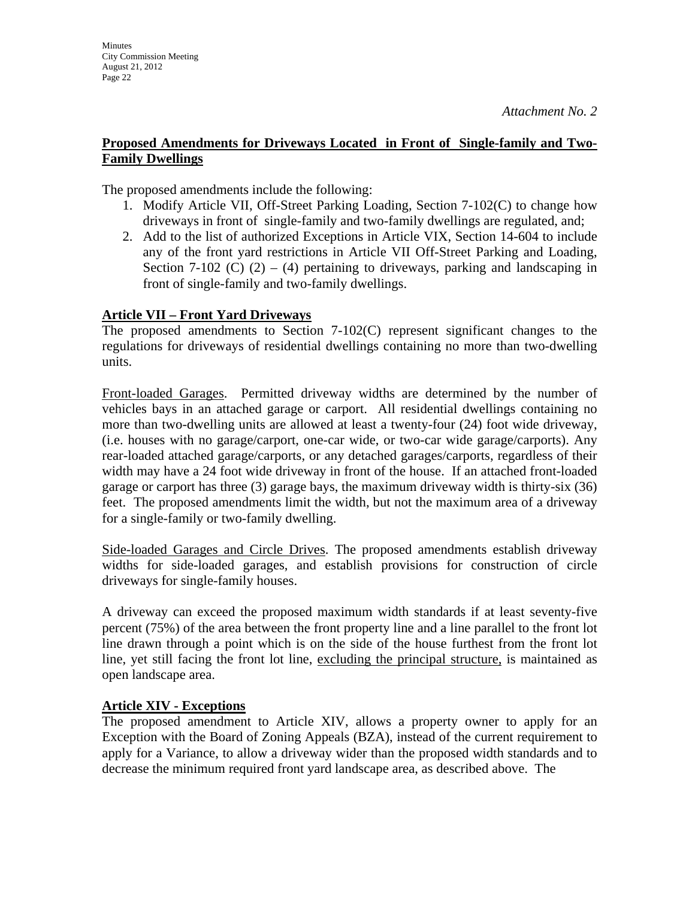The proposed amendments include the following:

- 1. Modify Article VII, Off-Street Parking Loading, Section 7-102(C) to change how driveways in front of single-family and two-family dwellings are regulated, and;
- 2. Add to the list of authorized Exceptions in Article VIX, Section 14-604 to include any of the front yard restrictions in Article VII Off-Street Parking and Loading, Section 7-102 (C)  $(2) - (4)$  pertaining to driveways, parking and landscaping in front of single-family and two-family dwellings.

#### **Article VII – Front Yard Driveways**

**Minutes** 

City Commission Meeting August 21, 2012 Page 22

The proposed amendments to Section 7-102(C) represent significant changes to the regulations for driveways of residential dwellings containing no more than two-dwelling units.

Front-loaded Garages. Permitted driveway widths are determined by the number of vehicles bays in an attached garage or carport. All residential dwellings containing no more than two-dwelling units are allowed at least a twenty-four (24) foot wide driveway, (i.e. houses with no garage/carport, one-car wide, or two-car wide garage/carports). Any rear-loaded attached garage/carports, or any detached garages/carports, regardless of their width may have a 24 foot wide driveway in front of the house. If an attached front-loaded garage or carport has three (3) garage bays, the maximum driveway width is thirty-six (36) feet. The proposed amendments limit the width, but not the maximum area of a driveway for a single-family or two-family dwelling.

Side-loaded Garages and Circle Drives. The proposed amendments establish driveway widths for side-loaded garages, and establish provisions for construction of circle driveways for single-family houses.

A driveway can exceed the proposed maximum width standards if at least seventy-five percent (75%) of the area between the front property line and a line parallel to the front lot line drawn through a point which is on the side of the house furthest from the front lot line, yet still facing the front lot line, excluding the principal structure, is maintained as open landscape area.

#### **Article XIV - Exceptions**

The proposed amendment to Article XIV, allows a property owner to apply for an Exception with the Board of Zoning Appeals (BZA), instead of the current requirement to apply for a Variance, to allow a driveway wider than the proposed width standards and to decrease the minimum required front yard landscape area, as described above. The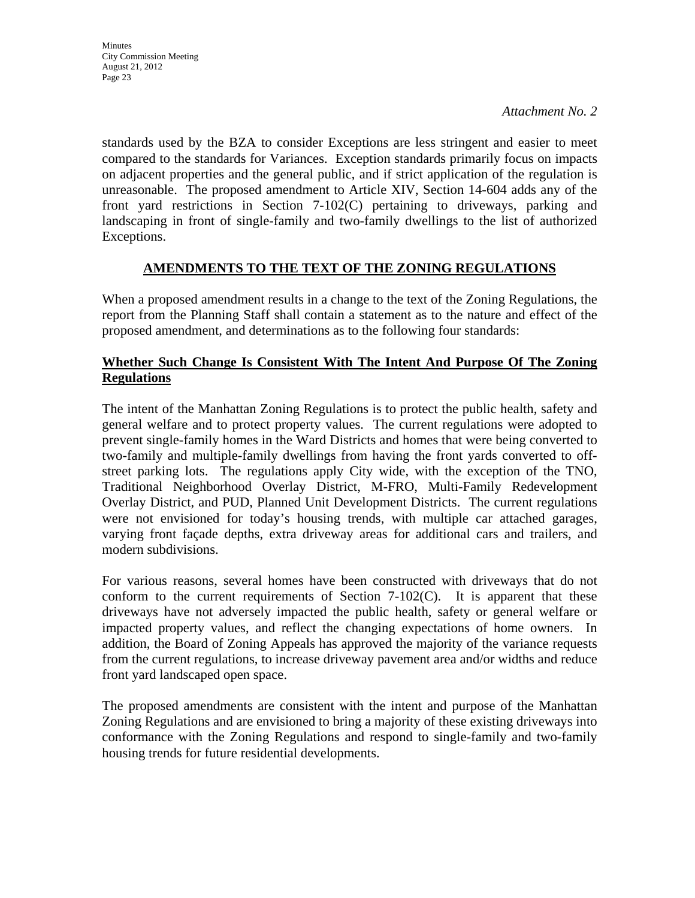standards used by the BZA to consider Exceptions are less stringent and easier to meet compared to the standards for Variances. Exception standards primarily focus on impacts on adjacent properties and the general public, and if strict application of the regulation is unreasonable. The proposed amendment to Article XIV, Section 14-604 adds any of the front yard restrictions in Section 7-102(C) pertaining to driveways, parking and landscaping in front of single-family and two-family dwellings to the list of authorized Exceptions.

## **AMENDMENTS TO THE TEXT OF THE ZONING REGULATIONS**

When a proposed amendment results in a change to the text of the Zoning Regulations, the report from the Planning Staff shall contain a statement as to the nature and effect of the proposed amendment, and determinations as to the following four standards:

## **Whether Such Change Is Consistent With The Intent And Purpose Of The Zoning Regulations**

The intent of the Manhattan Zoning Regulations is to protect the public health, safety and general welfare and to protect property values. The current regulations were adopted to prevent single-family homes in the Ward Districts and homes that were being converted to two-family and multiple-family dwellings from having the front yards converted to offstreet parking lots. The regulations apply City wide, with the exception of the TNO, Traditional Neighborhood Overlay District, M-FRO, Multi-Family Redevelopment Overlay District, and PUD, Planned Unit Development Districts. The current regulations were not envisioned for today's housing trends, with multiple car attached garages, varying front façade depths, extra driveway areas for additional cars and trailers, and modern subdivisions.

For various reasons, several homes have been constructed with driveways that do not conform to the current requirements of Section  $7-102(C)$ . It is apparent that these driveways have not adversely impacted the public health, safety or general welfare or impacted property values, and reflect the changing expectations of home owners. In addition, the Board of Zoning Appeals has approved the majority of the variance requests from the current regulations, to increase driveway pavement area and/or widths and reduce front yard landscaped open space.

The proposed amendments are consistent with the intent and purpose of the Manhattan Zoning Regulations and are envisioned to bring a majority of these existing driveways into conformance with the Zoning Regulations and respond to single-family and two-family housing trends for future residential developments.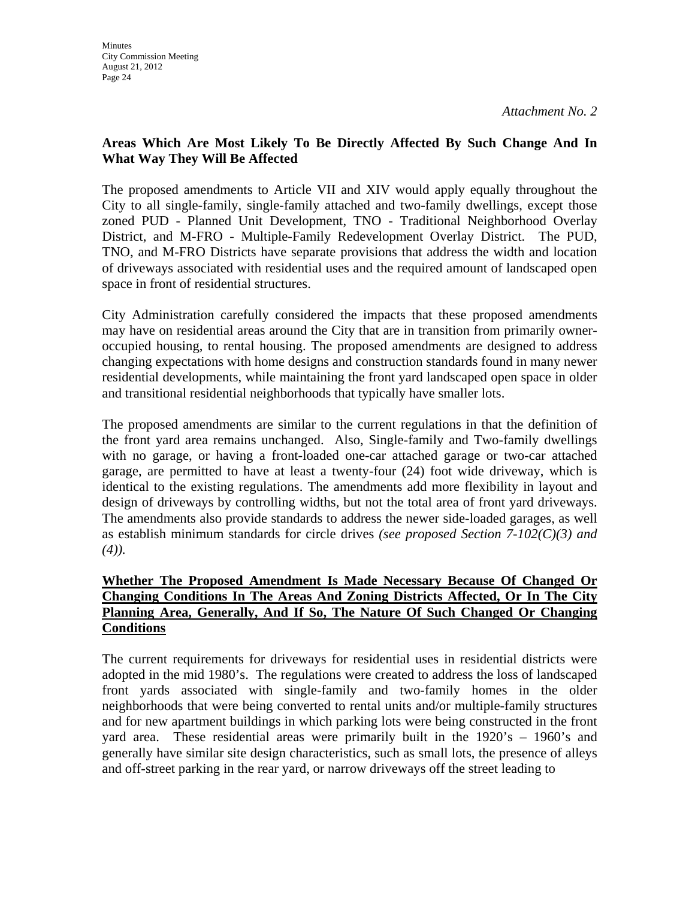## **Areas Which Are Most Likely To Be Directly Affected By Such Change And In What Way They Will Be Affected**

The proposed amendments to Article VII and XIV would apply equally throughout the City to all single-family, single-family attached and two-family dwellings, except those zoned PUD - Planned Unit Development, TNO - Traditional Neighborhood Overlay District, and M-FRO - Multiple-Family Redevelopment Overlay District. The PUD, TNO, and M-FRO Districts have separate provisions that address the width and location of driveways associated with residential uses and the required amount of landscaped open space in front of residential structures.

City Administration carefully considered the impacts that these proposed amendments may have on residential areas around the City that are in transition from primarily owneroccupied housing, to rental housing. The proposed amendments are designed to address changing expectations with home designs and construction standards found in many newer residential developments, while maintaining the front yard landscaped open space in older and transitional residential neighborhoods that typically have smaller lots.

The proposed amendments are similar to the current regulations in that the definition of the front yard area remains unchanged. Also, Single-family and Two-family dwellings with no garage, or having a front-loaded one-car attached garage or two-car attached garage, are permitted to have at least a twenty-four (24) foot wide driveway, which is identical to the existing regulations. The amendments add more flexibility in layout and design of driveways by controlling widths, but not the total area of front yard driveways. The amendments also provide standards to address the newer side-loaded garages, as well as establish minimum standards for circle drives *(see proposed Section 7-102(C)(3) and (4)).* 

## **Whether The Proposed Amendment Is Made Necessary Because Of Changed Or Changing Conditions In The Areas And Zoning Districts Affected, Or In The City Planning Area, Generally, And If So, The Nature Of Such Changed Or Changing Conditions**

The current requirements for driveways for residential uses in residential districts were adopted in the mid 1980's. The regulations were created to address the loss of landscaped front yards associated with single-family and two-family homes in the older neighborhoods that were being converted to rental units and/or multiple-family structures and for new apartment buildings in which parking lots were being constructed in the front yard area. These residential areas were primarily built in the 1920's – 1960's and generally have similar site design characteristics, such as small lots, the presence of alleys and off-street parking in the rear yard, or narrow driveways off the street leading to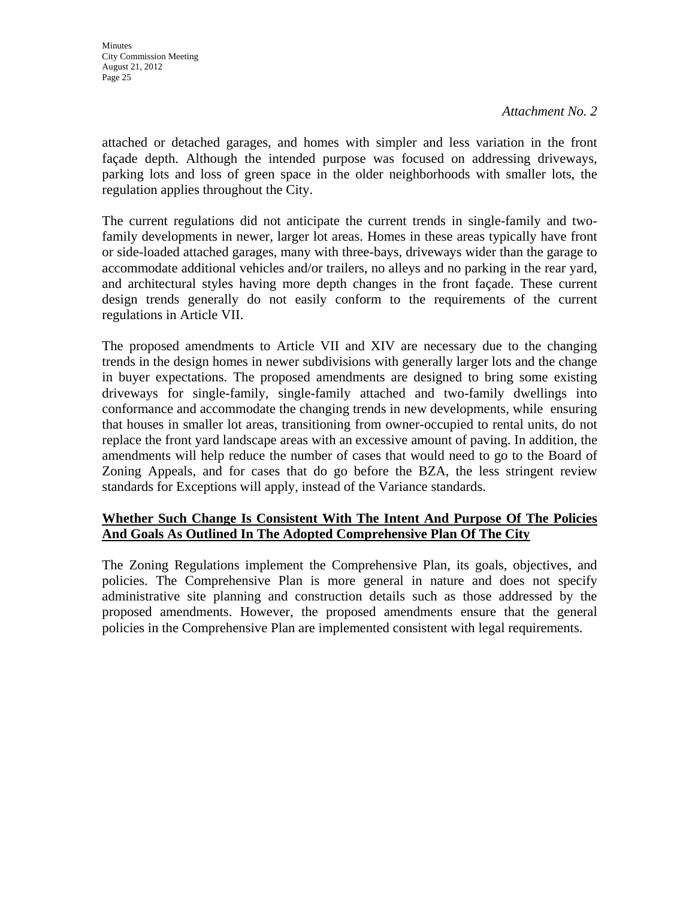attached or detached garages, and homes with simpler and less variation in the front façade depth. Although the intended purpose was focused on addressing driveways, parking lots and loss of green space in the older neighborhoods with smaller lots, the regulation applies throughout the City.

The current regulations did not anticipate the current trends in single-family and twofamily developments in newer, larger lot areas. Homes in these areas typically have front or side-loaded attached garages, many with three-bays, driveways wider than the garage to accommodate additional vehicles and/or trailers, no alleys and no parking in the rear yard, and architectural styles having more depth changes in the front façade. These current design trends generally do not easily conform to the requirements of the current regulations in Article VII.

The proposed amendments to Article VII and XIV are necessary due to the changing trends in the design homes in newer subdivisions with generally larger lots and the change in buyer expectations. The proposed amendments are designed to bring some existing driveways for single-family, single-family attached and two-family dwellings into conformance and accommodate the changing trends in new developments, while ensuring that houses in smaller lot areas, transitioning from owner-occupied to rental units, do not replace the front yard landscape areas with an excessive amount of paving. In addition, the amendments will help reduce the number of cases that would need to go to the Board of Zoning Appeals, and for cases that do go before the BZA, the less stringent review standards for Exceptions will apply, instead of the Variance standards.

## **Whether Such Change Is Consistent With The Intent And Purpose Of The Policies And Goals As Outlined In The Adopted Comprehensive Plan Of The City**

The Zoning Regulations implement the Comprehensive Plan, its goals, objectives, and policies. The Comprehensive Plan is more general in nature and does not specify administrative site planning and construction details such as those addressed by the proposed amendments. However, the proposed amendments ensure that the general policies in the Comprehensive Plan are implemented consistent with legal requirements.